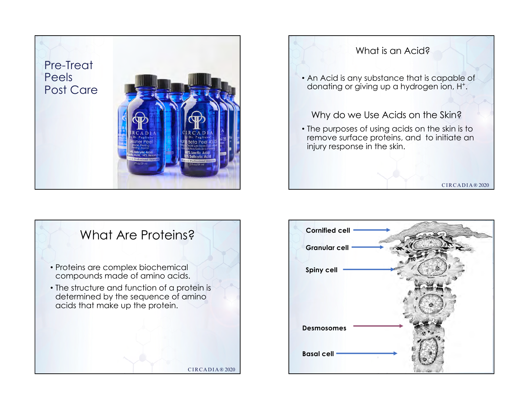





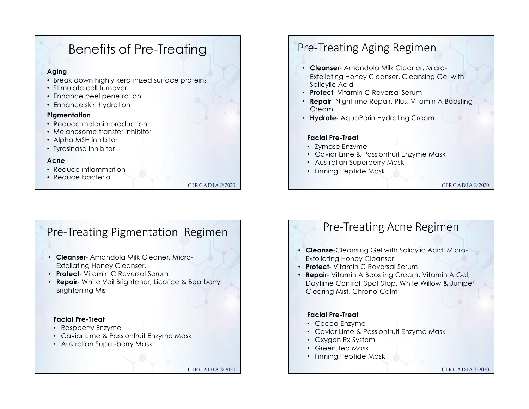# Benefits of Pre-Treating

### **Aging**

- Break down highly keratinized surface proteins
- Stimulate cell turnover
- Enhance peel penetration
- Enhance skin hydration

### **Pigmentation**

- Reduce melanin production
- Melanosome transfer inhibitor
- Alpha MSH inhibitor
- Tyrosinase Inhibitor

### **Acne**

- Reduce inflammation
- Reduce bacteria

CIRCADIA® 2020

# Pre-Treating Aging Regimen

- **Cleanser** Amandola Milk Cleaner, Micro-Exfoliating Honey Cleanser, Cleansing Gel with Salicylic Acid
- **Protect** Vitamin C Reversal Serum
- **Repair** Nighttime Repair, Plus, Vitamin A Boosting **Cream**
- **Hydrate** AquaPorin Hydrating Cream

### **Facial Pre-Treat**

- Zymase Enzyme
- Caviar Lime & Passionfruit Enzyme Mask
- Australian Superberry Mask
- Firming Peptide Mask

CIRCADIA® 2020

# Pre-Treating Pigmentation Regimen

- **Cleanser** Amandola Milk Cleaner, Micro-Exfoliating Honey Cleanser,
- **Protect** Vitamin C Reversal Serum
- **Repair** White Veil Brightener, Licorice & Bearberry Brightening Mist

### **Facial Pre-Treat**

- Raspberry Enzyme
- Caviar Lime & Passionfruit Enzyme Mask
- Australian Super-berry Mask

CIRCADIA® 2020

# Pre-Treating Acne Regimen

- **Cleanse**-Cleansing Gel with Salicylic Acid, Micro-Exfoliating Honey Cleanser
- **Protect** Vitamin C Reversal Serum
- **Repair** Vitamin A Boosting Cream, Vitamin A Gel, Daytime Control, Spot Stop, White Willow & Juniper Clearing Mist, Chrono-Calm

### **Facial Pre-Treat**

- Cocoa Enzyme
- Caviar Lime & Passionfruit Enzyme Mask
- Oxygen Rx System
- Green Tea Mask
- Firming Peptide Mask

CIRCADIA® 2020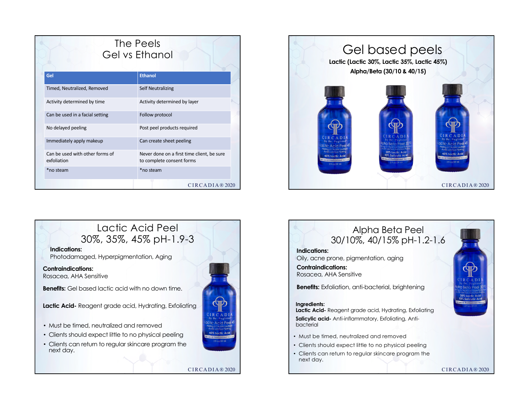| The Peels<br>Gel vs Ethanol                    |                                                                         |
|------------------------------------------------|-------------------------------------------------------------------------|
| Gel                                            | <b>Ethanol</b>                                                          |
| Timed, Neutralized, Removed                    | <b>Self Neutralizing</b>                                                |
| Activity determined by time                    | Activity determined by layer                                            |
| Can be used in a facial setting                | Follow protocol                                                         |
| No delayed peeling                             | Post peel products required                                             |
| Immediately apply makeup                       | Can create sheet peeling                                                |
| Can be used with other forms of<br>exfoliation | Never done on a first time client, be sure<br>to complete consent forms |
| *no steam                                      | *no steam                                                               |
|                                                | CIRCADIA®2020                                                           |







- Must be timed, neutralized and removed
- Clients should expect little to no physical peeling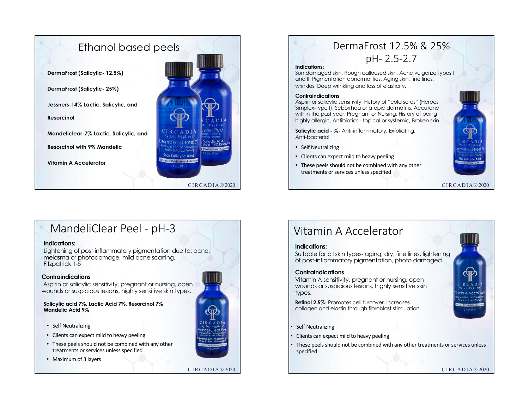

### DermaFrost 12.5% & 25% pH- 2.5-2.7 **Indications:**  Sun damaged skin, Rough calloused skin, Acne vulgarize types I and II, Pigmentation abnormalities, Aging skin, fine lines, wrinkles, Deep wrinkling and loss of elasticity.

#### **Contraindications**

Asprin or salicylic sensitivity, History of "cold sores" (Herpes Simplex-Type I), Seborrhea or atopic dermatitis, Accutane within the past year, Pregnant or Nursing, History of being highly allergic, Antibiotics - topical or systemic, Broken skin

**Salicylic acid - %-** Anti-inflammatory, Exfoliating, Anti-bacterial

- Self Neutralizing
- Clients can expect mild to heavy peeling
- These peels should not be combined with any other treatments or services unless specified

CIRCADIA® 2020

## MandeliClear Peel - pH-3

### **Indications:**

Lightening of post-inflammatory pigmentation due to: acne, melasma or photodamage, mild acne scarring. Fitzpatrick 1-5

### **Contraindications**

Aspirin or salicylic sensitivity, pregnant or nursing, open wounds or suspicious lesions, highly sensitive skin types.

**Salicylic acid 7%, Lactic Acid 7%, Resorcinol 7% Mandelic Acid 9%**

- Self Neutralizing
- Clients can expect mild to heavy peeling
- These peels should not be combined with any other treatments or services unless specified
- Maximum of 3 layers



#### CIRCADIA® 2020

## Vitamin A Accelerator

### **Indications:**

Suitable for all skin types- aging, dry, fine lines, lightening of post-inflammatory pigmentation, photo damaged

### **Contraindications**

Vitamin A sensitivity, pregnant or nursing, open wounds or suspicious lesions, highly sensitive skin types.

**Retinol 2.5%**- Promotes cell turnover, Increases collagen and elastin through fibroblast stimulation

- **Self Neutralizing**
- Clients can expect mild to heavy peeling
- These peels should not be combined with any other treatments or services unless specified

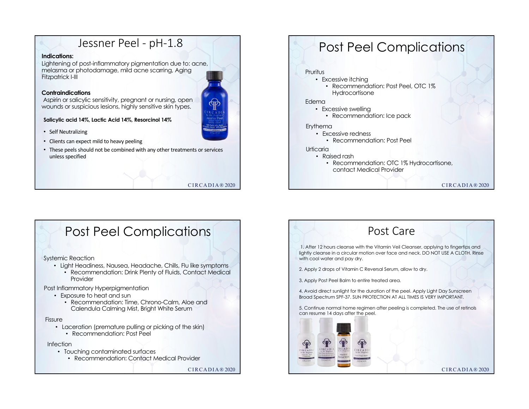# Jessner Peel - pH-1.8

### **Indications:**

Lightening of post-inflammatory pigmentation due to: acne, melasma or photodamage, mild acne scarring, Aging Fitzpatrick I-III

### **Contraindications**

Aspirin or salicylic sensitivity, pregnant or nursing, open wounds or suspicious lesions, highly sensitive skin types.

**Salicylic acid 14%, Lactic Acid 14%, Resorcinol 14%**

- Self Neutralizing
- Clients can expect mild to heavy peeling
- These peels should not be combined with any other treatments or services unless specified

CIRCADIA® 2020

# Post Peel Complications

### Pruritus

- Excessive itching
	- Recommendation: Post Peel, OTC 1% **Hydrocortisone**

#### Edema

- Excessive swelling
	- Recommendation: Ice pack

#### Erythema

- Excessive redness
	- Recommendation: Post Peel

#### Urticaria

- Raised rash
	- Recommendation: OTC 1% Hydrocortisone, contact Medical Provider

CIRCADIA® 2020

# Post Peel Complications

Systemic Reaction

- Light Headiness, Nausea, Headache, Chills, Flu like symptoms • Recommendation: Drink Plenty of Fluids, Contact Medical
- Provider

Post Inflammatory Hyperpigmentation

- Exposure to heat and sun
	- Recommendation: Time, Chrono-Calm, Aloe and Calendula Calming Mist, Bright White Serum

#### Fissure

- Laceration (premature pulling or picking of the skin)
	- Recommendation: Post Peel

### Infection

- Touching contaminated surfaces
	- Recommendation: Contact Medical Provider

CIRCADIA® 2020

## Post Care

1. After 12 hours cleanse with the Vitamin Veil Cleanser, applying to fingertips and lightly cleanse in a circular motion over face and neck. DO NOT USE A CLOTH. Rinse with cool water and pay dry.

2. Apply 2 drops of Vitamin C Reversal Serum, allow to dry.

3. Apply Post Peel Balm to entire treated area.

4. Avoid direct sunlight for the duration of the peel. Apply Light Day Sunscreen Broad Spectrum SPF-37. SUN PROTECTION AT ALL TIMES IS VERY IMPORTANT.

5. Continue normal home regimen after peeling is completed. The use of retinols can resume 14 days after the peel.



CIRCADIA® 2020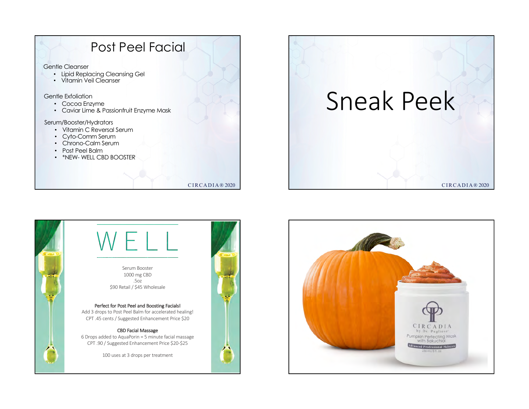

### CIRCADIA® 2020